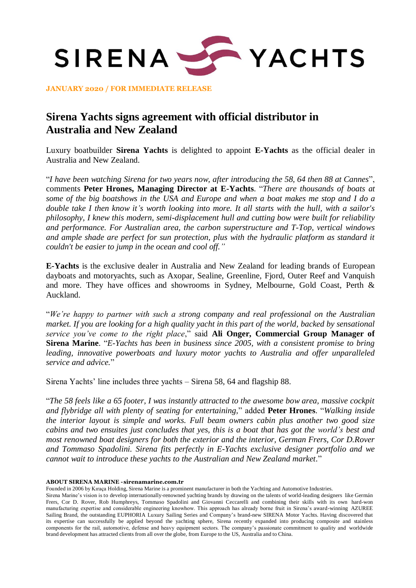

**JANUARY 2020 / FOR IMMEDIATE RELEASE**

# **Sirena Yachts signs agreement with official distributor in Australia and New Zealand**

Luxury boatbuilder **Sirena Yachts** is delighted to appoint **E-Yachts** as the official dealer in Australia and New Zealand.

"*I have been watching Sirena for two years now, after introducing the 58, 64 then 88 at Cannes*", comments **Peter Hrones, Managing Director at E-Yachts**. "*There are thousands of boats at some of the big boatshows in the USA and Europe and when a boat makes me stop and I do a double take I then know it's worth looking into more. It all starts with the hull, with a sailor's philosophy, I knew this modern, semi-displacement hull and cutting bow were built for reliability and performance. For Australian area, the carbon superstructure and T-Top, vertical windows and ample shade are perfect for sun protection, plus with the hydraulic platform as standard it couldn't be easier to jump in the ocean and cool off."*

**E-Yachts** is the exclusive dealer in Australia and New Zealand for leading brands of European dayboats and motoryachts, such as Axopar, Sealine, Greenline, Fjord, Outer Reef and Vanquish and more. They have offices and showrooms in Sydney, Melbourne, Gold Coast, Perth & Auckland.

"*We're happy to partner with such a strong company and real professional on the Australian market. If you are looking for a high quality yacht in this part of the world, backed by sensational service you've come to the right place*," said **Ali Onger, Commercial Group Manager of Sirena Marine**. "*E-Yachts has been in business since 2005, with a consistent promise to bring leading, innovative powerboats and luxury motor yachts to Australia and offer unparalleled service and advice.*"

Sirena Yachts' line includes three yachts – Sirena 58, 64 and flagship 88.

"*The 58 feels like a 65 footer, I was instantly attracted to the awesome bow area, massive cockpit and flybridge all with plenty of seating for entertaining,*" added **Peter Hrones**. "*Walking inside the interior layout is simple and works. Full beam owners cabin plus another two good size cabins and two ensuites just concludes that yes, this is a boat that has got the world's best and most renowned boat designers for both the exterior and the interior, German Frers, Cor D.Rover and Tommaso Spadolini. Sirena fits perfectly in E-Yachts exclusive designer portfolio and we cannot wait to introduce these yachts to the Australian and New Zealand market.*"

## **ABOUT SIRENA MARINE -sirenamarine.com.tr**

Founded in 2006 by Kıraça Holding, Sirena Marine is a prominent manufacturer in both the Yachting and Automotive Industries.

Sirena Marine's vision is to develop internationally-renowned yachting brands by drawing on the talents of world-leading designers like Germán Frers, Cor D. Rover, Rob Humphreys, Tommaso Spadolini and Giovanni Ceccarelli and combining their skills with its own hard-won manufacturing expertise and considerable engineering knowhow. This approach has already borne fruit in Sirena's award-winning AZUREE Sailing Brand, the outstanding EUPHORIA Luxury Sailing Series and Company's brand-new SIRENA Motor Yachts. Having discovered that its expertise can successfully be applied beyond the yachting sphere, Sirena recently expanded into producing composite and stainless components for the rail, automotive, defense and heavy equipment sectors. The company's passionate commitment to quality and worldwide brand development has attracted clients from all over the globe, from Europe to the US, Australia and to China.